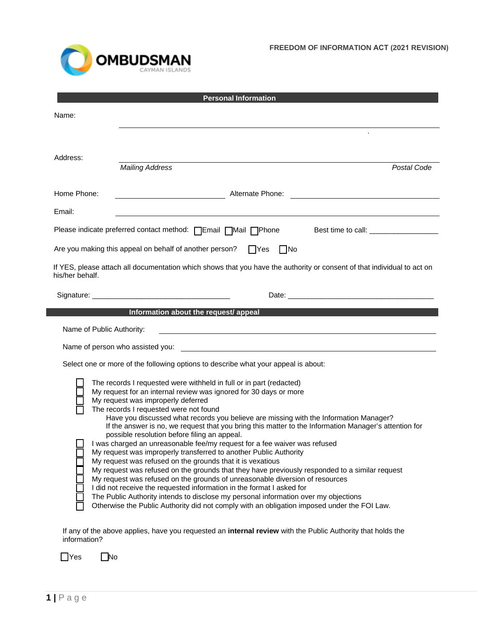

| <b>Personal Information</b>                                                                                                                                                                                                                                                                                                                                                                                                                                                                                                                                                                                                                                                                                                                                                                                                                                                                                                                                                                                                                                                                                                                 |                                                               |  |
|---------------------------------------------------------------------------------------------------------------------------------------------------------------------------------------------------------------------------------------------------------------------------------------------------------------------------------------------------------------------------------------------------------------------------------------------------------------------------------------------------------------------------------------------------------------------------------------------------------------------------------------------------------------------------------------------------------------------------------------------------------------------------------------------------------------------------------------------------------------------------------------------------------------------------------------------------------------------------------------------------------------------------------------------------------------------------------------------------------------------------------------------|---------------------------------------------------------------|--|
| Name:                                                                                                                                                                                                                                                                                                                                                                                                                                                                                                                                                                                                                                                                                                                                                                                                                                                                                                                                                                                                                                                                                                                                       |                                                               |  |
|                                                                                                                                                                                                                                                                                                                                                                                                                                                                                                                                                                                                                                                                                                                                                                                                                                                                                                                                                                                                                                                                                                                                             |                                                               |  |
| Address:                                                                                                                                                                                                                                                                                                                                                                                                                                                                                                                                                                                                                                                                                                                                                                                                                                                                                                                                                                                                                                                                                                                                    |                                                               |  |
|                                                                                                                                                                                                                                                                                                                                                                                                                                                                                                                                                                                                                                                                                                                                                                                                                                                                                                                                                                                                                                                                                                                                             | <b>Mailing Address</b><br>Postal Code                         |  |
| Home Phone:                                                                                                                                                                                                                                                                                                                                                                                                                                                                                                                                                                                                                                                                                                                                                                                                                                                                                                                                                                                                                                                                                                                                 | <b>Solution Alternate Phone:</b> Alternate Phone:             |  |
| Email:                                                                                                                                                                                                                                                                                                                                                                                                                                                                                                                                                                                                                                                                                                                                                                                                                                                                                                                                                                                                                                                                                                                                      |                                                               |  |
|                                                                                                                                                                                                                                                                                                                                                                                                                                                                                                                                                                                                                                                                                                                                                                                                                                                                                                                                                                                                                                                                                                                                             | Please indicate preferred contact method: □Email □Mail □Phone |  |
| Are you making this appeal on behalf of another person?<br>$\Box$ Yes<br>$\Box$ No                                                                                                                                                                                                                                                                                                                                                                                                                                                                                                                                                                                                                                                                                                                                                                                                                                                                                                                                                                                                                                                          |                                                               |  |
| If YES, please attach all documentation which shows that you have the authority or consent of that individual to act on<br>his/her behalf.                                                                                                                                                                                                                                                                                                                                                                                                                                                                                                                                                                                                                                                                                                                                                                                                                                                                                                                                                                                                  |                                                               |  |
|                                                                                                                                                                                                                                                                                                                                                                                                                                                                                                                                                                                                                                                                                                                                                                                                                                                                                                                                                                                                                                                                                                                                             |                                                               |  |
| Information about the request/ appeal                                                                                                                                                                                                                                                                                                                                                                                                                                                                                                                                                                                                                                                                                                                                                                                                                                                                                                                                                                                                                                                                                                       |                                                               |  |
| Name of Public Authority:                                                                                                                                                                                                                                                                                                                                                                                                                                                                                                                                                                                                                                                                                                                                                                                                                                                                                                                                                                                                                                                                                                                   |                                                               |  |
| Name of person who assisted you:                                                                                                                                                                                                                                                                                                                                                                                                                                                                                                                                                                                                                                                                                                                                                                                                                                                                                                                                                                                                                                                                                                            |                                                               |  |
| Select one or more of the following options to describe what your appeal is about:                                                                                                                                                                                                                                                                                                                                                                                                                                                                                                                                                                                                                                                                                                                                                                                                                                                                                                                                                                                                                                                          |                                                               |  |
| The records I requested were withheld in full or in part (redacted)<br>My request for an internal review was ignored for 30 days or more<br>My request was improperly deferred<br>The records I requested were not found<br>Have you discussed what records you believe are missing with the Information Manager?<br>If the answer is no, we request that you bring this matter to the Information Manager's attention for<br>possible resolution before filing an appeal.<br>I was charged an unreasonable fee/my request for a fee waiver was refused<br>My request was improperly transferred to another Public Authority<br>My request was refused on the grounds that it is vexatious<br>My request was refused on the grounds that they have previously responded to a similar request<br>My request was refused on the grounds of unreasonable diversion of resources<br>I did not receive the requested information in the format I asked for<br>The Public Authority intends to disclose my personal information over my objections<br>Otherwise the Public Authority did not comply with an obligation imposed under the FOI Law. |                                                               |  |

If any of the above applies, have you requested an **internal review** with the Public Authority that holds the information?

| - | ง∩ |
|---|----|
|---|----|